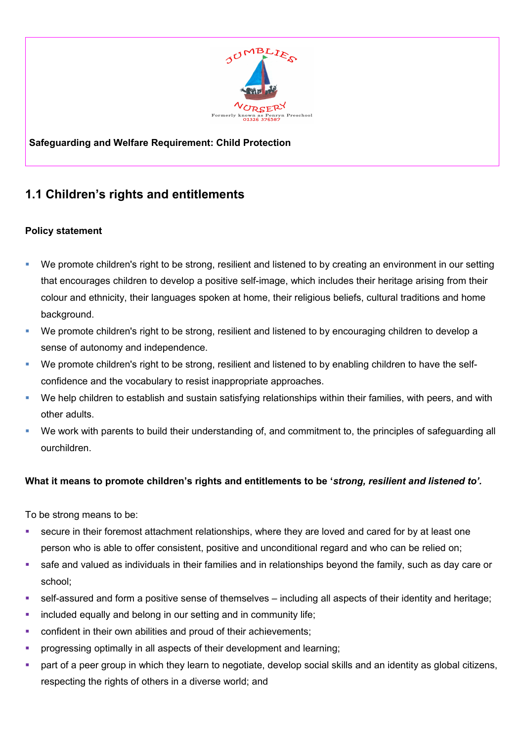

## **Safeguarding and Welfare Requirement: Child Protection**

## **1.1 Children's rights and entitlements**

## **Policy statement**

- We promote children's right to be strong, resilient and listened to by creating an environment in our setting that encourages children to develop a positive self-image, which includes their heritage arising from their colour and ethnicity, their languages spoken at home, their religious beliefs, cultural traditions and home background.
- We promote children's right to be strong, resilient and listened to by encouraging children to develop a sense of autonomy and independence.
- We promote children's right to be strong, resilient and listened to by enabling children to have the selfconfidence and the vocabulary to resist inappropriate approaches.
- We help children to establish and sustain satisfying relationships within their families, with peers, and with other adults.
- We work with parents to build their understanding of, and commitment to, the principles of safeguarding all ourchildren.

## **What it means to promote children's rights and entitlements to be '***strong, resilient and listened to'.*

To be strong means to be:

- secure in their foremost attachment relationships, where they are loved and cared for by at least one person who is able to offer consistent, positive and unconditional regard and who can be relied on;
- safe and valued as individuals in their families and in relationships beyond the family, such as day care or school;
- self-assured and form a positive sense of themselves including all aspects of their identity and heritage;
- included equally and belong in our setting and in community life;
- confident in their own abilities and proud of their achievements;
- progressing optimally in all aspects of their development and learning;
- part of a peer group in which they learn to negotiate, develop social skills and an identity as global citizens, respecting the rights of others in a diverse world; and